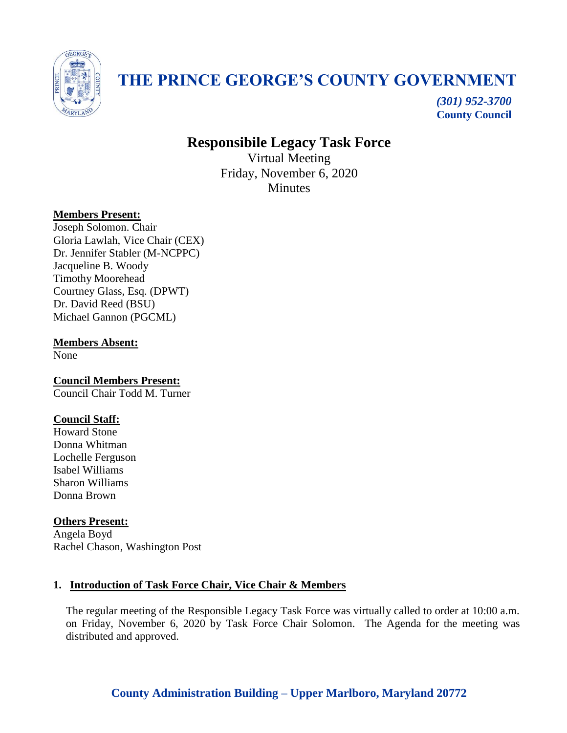

# **THE PRINCE GEORGE'S COUNTY GOVERNMENT**

*(301) 952-3700* **County Council**

# **Responsibile Legacy Task Force**

Virtual Meeting Friday, November 6, 2020 **Minutes** 

# **Members Present:**

Joseph Solomon. Chair Gloria Lawlah, Vice Chair (CEX) Dr. Jennifer Stabler (M-NCPPC) Jacqueline B. Woody Timothy Moorehead Courtney Glass, Esq. (DPWT) Dr. David Reed (BSU) Michael Gannon (PGCML)

**Members Absent:**

None

**Council Members Present:** Council Chair Todd M. Turner

# **Council Staff:**

Howard Stone Donna Whitman Lochelle Ferguson Isabel Williams Sharon Williams Donna Brown

# **Others Present:**

Angela Boyd Rachel Chason, Washington Post

# **1. Introduction of Task Force Chair, Vice Chair & Members**

The regular meeting of the Responsible Legacy Task Force was virtually called to order at 10:00 a.m. on Friday, November 6, 2020 by Task Force Chair Solomon. The Agenda for the meeting was distributed and approved.